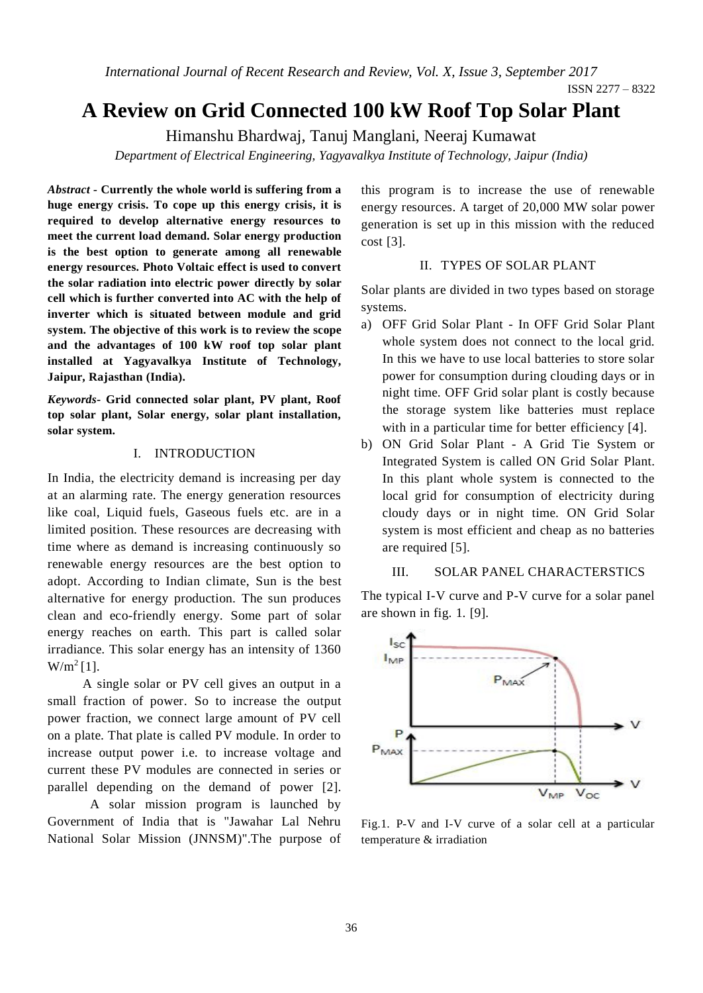*International Journal of Recent Research and Review, Vol. X, Issue 3, September 2017*

# **A Review on Grid Connected 100 kW Roof Top Solar Plant**

Himanshu Bhardwaj, Tanuj Manglani, Neeraj Kumawat

*Department of Electrical Engineering, Yagyavalkya Institute of Technology, Jaipur (India)*

*Abstract -* **Currently the whole world is suffering from a huge energy crisis. To cope up this energy crisis, it is required to develop alternative energy resources to meet the current load demand. Solar energy production is the best option to generate among all renewable energy resources. Photo Voltaic effect is used to convert the solar radiation into electric power directly by solar cell which is further converted into AC with the help of inverter which is situated between module and grid system. The objective of this work is to review the scope and the advantages of 100 kW roof top solar plant installed at Yagyavalkya Institute of Technology, Jaipur, Rajasthan (India).**

*Keywords-* **Grid connected solar plant, PV plant, Roof top solar plant, Solar energy, solar plant installation, solar system.**

## I. INTRODUCTION

In India, the electricity demand is increasing per day at an alarming rate. The energy generation resources like coal, Liquid fuels, Gaseous fuels etc. are in a limited position. These resources are decreasing with time where as demand is increasing continuously so renewable energy resources are the best option to adopt. According to Indian climate, Sun is the best alternative for energy production. The sun produces clean and eco-friendly energy. Some part of solar energy reaches on earth. This part is called solar irradiance. This solar energy has an intensity of 1360  $W/m^2$  [1].

 A single solar or PV cell gives an output in a small fraction of power. So to increase the output power fraction, we connect large amount of PV cell on a plate. That plate is called PV module. In order to increase output power i.e. to increase voltage and current these PV modules are connected in series or parallel depending on the demand of power [2].

A solar mission program is launched by Government of India that is "Jawahar Lal Nehru National Solar Mission (JNNSM)".The purpose of this program is to increase the use of renewable energy resources. A target of 20,000 MW solar power generation is set up in this mission with the reduced cost [3].

## II. TYPES OF SOLAR PLANT

Solar plants are divided in two types based on storage systems.

- a) OFF Grid Solar Plant In OFF Grid Solar Plant whole system does not connect to the local grid. In this we have to use local batteries to store solar power for consumption during clouding days or in night time. OFF Grid solar plant is costly because the storage system like batteries must replace with in a particular time for better efficiency [4].
- b) ON Grid Solar Plant A Grid Tie System or Integrated System is called ON Grid Solar Plant. In this plant whole system is connected to the local grid for consumption of electricity during cloudy days or in night time. ON Grid Solar system is most efficient and cheap as no batteries are required [5].

#### III. SOLAR PANEL CHARACTERSTICS

The typical I-V curve and P-V curve for a solar panel are shown in fig. 1. [9].



Fig.1. P-V and I-V curve of a solar cell at a particular temperature & irradiation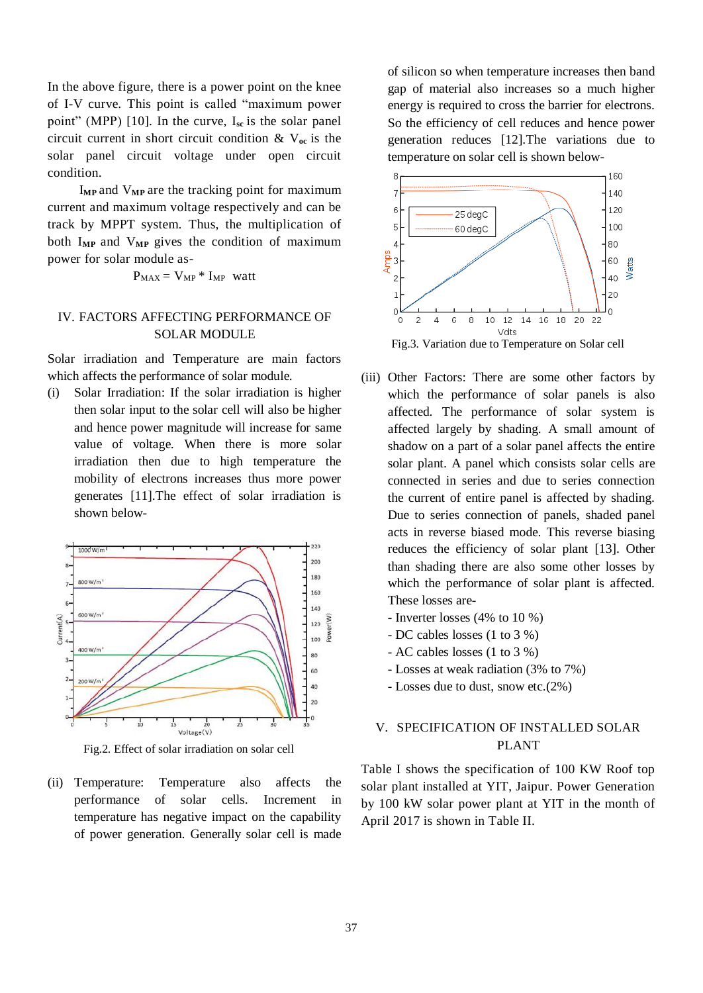In the above figure, there is a power point on the knee of I-V curve. This point is called "maximum power point" (MPP) [10]. In the curve, I<sub>sc</sub> is the solar panel circuit current in short circuit condition & V**oc** is the solar panel circuit voltage under open circuit condition.

 I**MP** and V**MP** are the tracking point for maximum current and maximum voltage respectively and can be track by MPPT system. Thus, the multiplication of both I**MP** and V**MP** gives the condition of maximum power for solar module as-

$$
P_{MAX} = V_{MP} * I_{MP} \text{ watt}
$$

## IV. FACTORS AFFECTING PERFORMANCE OF SOLAR MODULE

Solar irradiation and Temperature are main factors which affects the performance of solar module.

(i) Solar Irradiation: If the solar irradiation is higher then solar input to the solar cell will also be higher and hence power magnitude will increase for same value of voltage. When there is more solar irradiation then due to high temperature the mobility of electrons increases thus more power generates [11].The effect of solar irradiation is shown below-



Fig.2. Effect of solar irradiation on solar cell

(ii) Temperature: Temperature also affects the performance of solar cells. Increment in temperature has negative impact on the capability of power generation. Generally solar cell is made of silicon so when temperature increases then band gap of material also increases so a much higher energy is required to cross the barrier for electrons. So the efficiency of cell reduces and hence power generation reduces [12].The variations due to temperature on solar cell is shown below-



- (iii) Other Factors: There are some other factors by which the performance of solar panels is also affected. The performance of solar system is affected largely by shading. A small amount of shadow on a part of a solar panel affects the entire solar plant. A panel which consists solar cells are connected in series and due to series connection the current of entire panel is affected by shading. Due to series connection of panels, shaded panel acts in reverse biased mode. This reverse biasing reduces the efficiency of solar plant [13]. Other than shading there are also some other losses by which the performance of solar plant is affected. These losses are-
	- Inverter losses (4% to 10 %)
	- DC cables losses (1 to 3 %)
	- AC cables losses (1 to 3 %)
	- Losses at weak radiation (3% to 7%)
	- Losses due to dust, snow etc.(2%)

# V. SPECIFICATION OF INSTALLED SOLAR PLANT

Table I shows the specification of 100 KW Roof top solar plant installed at YIT, Jaipur. Power Generation by 100 kW solar power plant at YIT in the month of April 2017 is shown in Table II.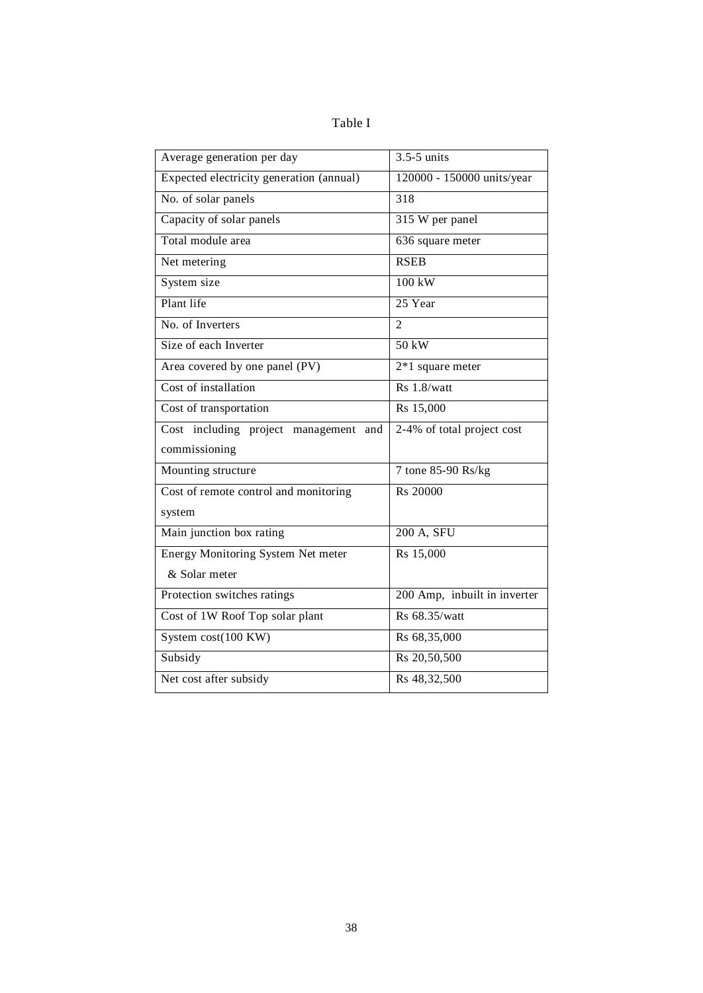| apie |  |
|------|--|
|------|--|

| Average generation per day                | $3.5 - 5$ units              |
|-------------------------------------------|------------------------------|
| Expected electricity generation (annual)  | 120000 - 150000 units/year   |
| No. of solar panels                       | $\overline{318}$             |
| Capacity of solar panels                  | 315 W per panel              |
| Total module area                         | 636 square meter             |
| Net metering                              | <b>RSEB</b>                  |
| System size                               | $100$ kW                     |
| Plant life                                | 25 Year                      |
| No. of Inverters                          | $\mathfrak{D}$               |
| Size of each Inverter                     | $50$ kW                      |
| Area covered by one panel (PV)            | $2*1$ square meter           |
| Cost of installation                      | Rs 1.8/watt                  |
| Cost of transportation                    | Rs 15,000                    |
| Cost including project management<br>and  | 2-4% of total project cost   |
| commissioning                             |                              |
| Mounting structure                        | 7 tone 85-90 Rs/kg           |
| Cost of remote control and monitoring     | Rs 20000                     |
| system                                    |                              |
| Main junction box rating                  | 200 A, SFU                   |
| <b>Energy Monitoring System Net meter</b> | Rs 15,000                    |
| & Solar meter                             |                              |
| Protection switches ratings               | 200 Amp, inbuilt in inverter |
| Cost of 1W Roof Top solar plant           | Rs 68.35/watt                |
| System $cost(100 KW)$                     | Rs 68,35,000                 |
| Subsidy                                   | Rs 20,50,500                 |
| Net cost after subsidy                    | Rs 48,32,500                 |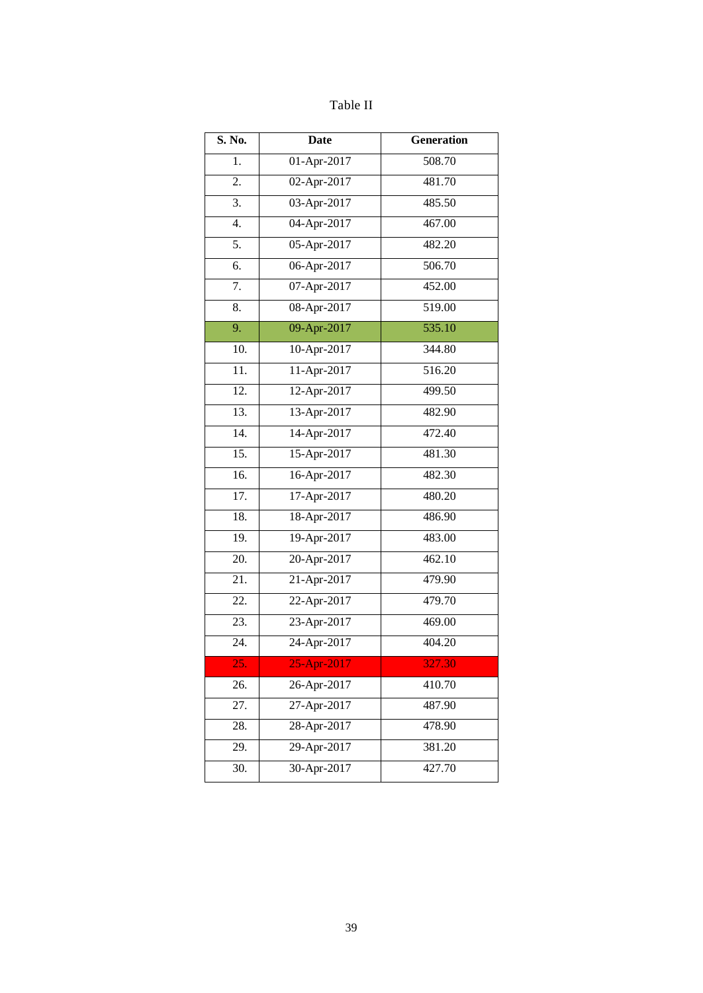| able |  |
|------|--|
|------|--|

| S. No.            | <b>Date</b>               | <b>Generation</b> |
|-------------------|---------------------------|-------------------|
| 1.                | 01-Apr-2017               | 508.70            |
| 2.                | 02-Apr-2017               | 481.70            |
| $\overline{3}$ .  | 03-Apr-2017               | 485.50            |
| 4.                | 04-Apr-2017               | 467.00            |
| 5.                | 05-Apr-2017               | 482.20            |
| 6.                | 06-Apr-2017               | 506.70            |
| 7.                | 07-Apr-2017               | 452.00            |
| 8.                | $\overline{08}$ -Apr-2017 | 519.00            |
| 9.                | 09-Apr-2017               | 535.10            |
| 10.               | 10-Apr-2017               | 344.80            |
| 11.               | 11-Apr-2017               | 516.20            |
| $\overline{12}$ . | $12-Apr-2017$             | 499.50            |
| $\overline{13}$ . | 13-Apr-2017               | 482.90            |
| 14.               | 14-Apr-2017               | 472.40            |
| 15.               | 15-Apr-2017               | 481.30            |
| $\overline{16}$ . | 16-Apr-2017               | 482.30            |
| 17.               | 17-Apr-2017               | 480.20            |
| 18.               | 18-Apr-2017               | 486.90            |
| 19.               | 19-Apr-2017               | 483.00            |
| 20.               | 20-Apr-2017               | 462.10            |
| 21.               | 21-Apr-2017               | 479.90            |
| 22.               | 22-Apr-2017               | 479.70            |
| 23.               | 23-Apr-2017               | 469.00            |
| 24.               | $24$ -Apr-2017            | 404.20            |
| 25.               | 25-Apr-2017               | 327.30            |
| 26.               | 26-Apr-2017               | 410.70            |
| 27.               | 27-Apr-2017               | 487.90            |
| 28.               | 28-Apr-2017               | 478.90            |
| 29.               | 29-Apr-2017               | 381.20            |
| 30.               | 30-Apr-2017               | 427.70            |